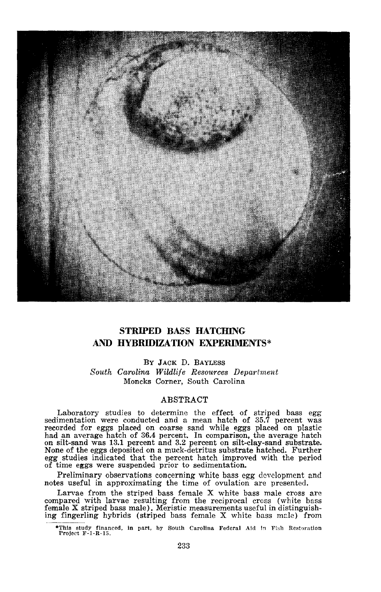

# **STRIPED BASS HATCHING** A1~ **HYBRIDIZATION EXPERIMENTS\***

By JACK D. BAYLESS *South Carolina Wildlife Resources Department* Moncks Corner, South Carolina

# ABSTRACT

Laboratory studies to determine the effect of striped bass egg sedimentation were conducted and <sup>a</sup> mean hatch of 35.7 percent was recorded for eggs placed on coarse sand while eggs placed on plastic had an average hatch of 36.4 percent. In comparison, the average hatch on silt-sand was 13.1 percent and 3.2 percent on silt-clay-sand substrate. None of the eggs deposited on a muck-detritus substrate hatched. Further egg studies indicated that the percent hatch improved with the period of time eggs were suspended prior to sedimentation.

Preliminary observations concerning white bass egg development and notes useful in approximating the time of ovulation are presented.

Larvae from the striped bass female <sup>X</sup> white bass male cross are compared with larvae resulting from the reciprocal cross (white bass female X striped bass male). Meristic measurements useful in distinguishing fingerling hybrids (striped bass female  $X$  white bass male) from

<sup>·</sup>Thls study financed. In part, by South Carolina Federal Aid In Fish Restoration Project F-I-R-15.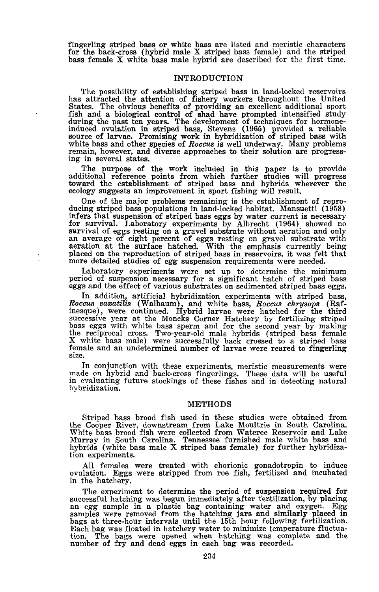fingerling striped bass or white bass are listed and meristic characters for the back-cross (hybrid male X striped bass female) and the striped bass female  $X$  white bass male hybrid are described for the first time.

## INTRODUCTION

The possibility of establishing striped bass in land-locked reservoirs has attracted the attention of fishery workers throughout the United States. The obvious benefits of providing an excellent additional sport fish and <sup>a</sup> biological control of shad have prompted intensified study during the past ten years. The development of techniques for hormoneinduced ovulation in striped bass, Stevens (1965) provided <sup>a</sup> reliable source of larvae. Promising work in hybridization of striped bass with white bass and other species of Roccus is well underway. Many problems remain, however, and diverse approaches to their solution are progress- ing in several states.

The purpose of the work included in this paper is to provide additional reference points from which further studies will progress toward the establishment of striped bass and hybrids wherever the ecology suggests an improvement in sport fishing will result.

One of the major problems remaining is the establishment of repro- ducing striped bass populations in land-locked habitat. Mansuetti (1958) infers that suspension of striped bass eggs by water current is necessary for survival. Laboratory experiments by Albrecht (1964) showed no for survival. Laboratory experiments by Albrecht (1964) showed no survival of eggs resting on a gravel substrate without aeration and only an average of eight percent of eggs resting on gravel substrate with aeration at the surface hatched. With the emphasis currently being placed on the reproduction of striped bass in reservoirs, it was felt that more detailed studies of egg suspension requirements were needed.

Laboratory experiments were set up to determine the minimum period of suspension necessary for a significant hatch of striped bass eggs and the effeot of various substrates on sedimented striped bass eggs.

In addition, artificial hybridization experiments with striped bass, *Roccus saxatilis* (Walbaum), and white bass, *Roccus chrysops* (Rafinesque), were continued. Hybrid larvae were hatched for the third successive year at the Moncks Corner Hatchery by fertilizing striped bass eggs with white bass sperm and for the second year by making the reciprocal cross. Two-year-old male hybrids (striped bass female X white bass male) were successfully back crossed to a striped bass female and an undetermined number of larvae were reared to fingerling size.

In conjunction with these experiments, meristic measurements were made on hybrid and back-cross fingerlings. These data will be useful in evaluating future stockings of these fishes and in detecting natural hybridization.

### METHODS

Striped bass brood fish used in these studies were obtained from the Cooper River, downstream from Lake Moultrie in South Carolina. White bass brood fish were collected from Wateree Reservoir and Lake Murray in South Carolina. Tennessee furnished male white bass and hybrids (white bass male <sup>X</sup> striped bass female) for further hybridiza- tion experiments.

All females were treated with chorionic gonadotropin to induce ovulation. Eggs were stripped from roe fish, fertilized and incubated in the hatchery.

The experiment to determine the period of suspension required for successful hatching was begun immediately after fertilization, by placing an egg sample in a plastic bag containing water and oxygen. Egg samples were removed from the hatching jars and similarly placed in bags at three-hour intervals until the 15th hour following fertilization. Each bag was floated in hatchery water to minimize temperature fluctuation. The bags were opened when hatching was complete and the number of fry and dead eggs in each bag was recorded.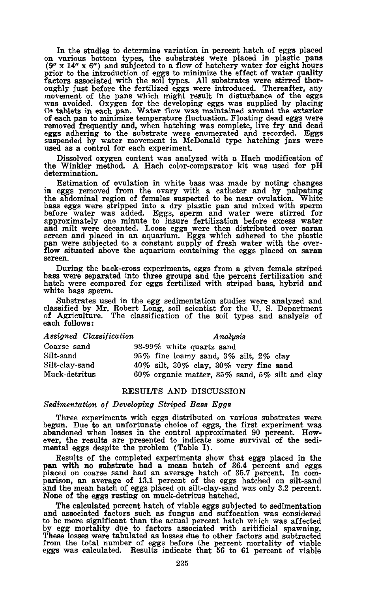In the studies to determine variation in percent hatch of eggs placed on various bottom types, the substrates were placed in plastic pans (9" x 14" x 6") and subjected to a flow of hatchery water for eight hours prior to the introduction of eggs to minimize the effect of water quality factors associated with the soil types. All substrates were stirred thoroughly just before the fertilized eggs were introduced. Thereafter, any movement of the pans which might result in disturbance of the eggs movement of the pans which might result in disturbance of the eggs was avoided. Oxygen for the developing eggs was supplied by placing O. tablets in each pan. Water flow was maintained around the exterior of each pan to minimize temperature fluctuation. Floating dead eggs were<br>removed frequently and, when hatching was complete, live fry and dead<br>eggs adhering to the substrate were enumerated and recorded. Eggs<br>suspended by

Dissolved oxygen content was analyzed with a Hach modification of the Winkler method. A Hach color-comparator kit was used for pH determination.

Estimation of ovulation in white bass was made by noting changes in eggs removed from the ovary with a catheter and by palpating the abdominal region of females suspected to be near ovulation. White bass eggs were stripped into a dry plastic pan and mixed with sperm before water was added. Eggs, sperm and water were stirred for approximately one minute to insure fertilization before excess water and milt were decanted. Loose eggs were then distributed over saran screen and placed in an aquarium. Eggs which adhered to the plastic pan were subjected to a constant supply of fresh water with the over-<br>flow situated above the aquarium containing the eggs placed on saran<br>screen.

During the back-cross experiments, eggs from a given female striped bass were separated into three groups and the percent fertilization and hatch were compared for eggs fertilized with striped bass, hybrid and white bass sperm.

Substrates used in the egg sedimentation studies were analyzed and classified by Mr. Robert Long, soil scientist for the U. S. Department of Agriculture. The classification of the soil types and analysis of each follows:

### *Assigned Classification Analysis*

| Coarse sand    | $98-99\%$ white quartz sand                          |
|----------------|------------------------------------------------------|
| Silt-sand      | 95% fine loamy sand, $3\%$ silt, $2\%$ clay          |
| Silt-clav-sand | 40% silt, 30% clay, 30% very fine sand               |
| Muck-detritus  | 60% organic matter, $35\%$ sand, $5\%$ silt and clay |

### RESULTS AND DISCUSSION

#### *Sedimentation of Developing Striped Bass Eggs*

Three experiments with eggs distributed on various substrates were begun. Due to an unfortunate choice of eggs, the first experiment was abandoned when losses in the control approximated 90 percent. However, the results are presented to indicate some survival of the sedimental eggs despite the problem (Table I).

Resnlts of the completed experiments show that eggs placed in the pan with no substrate had a mean hatch of 36.4 percent and eggs placed on coarse sand had an average hatch of 35.7 percent. In com- parison, an average of 13.1 percent of the eggs hatched on silt-sand and the mean hatch of eggs placed on silt-clay-sand was only 3.2 percent. None of the eggs resting on muck-detritus hatched.

The calculated percent hatch of viable eggs subjected to sedimentation and associated factors such as fungus and suffocation was considered to be more significant than the actual percent hatch which was affected by egg mortality due to factors associated with aritificial spawning. These losses were tabulated as losses due to other factors and subtracted from the total number of eggs before the percent mortality of viable eggs was calculated. Results indicate that 56 to 61 percent of viable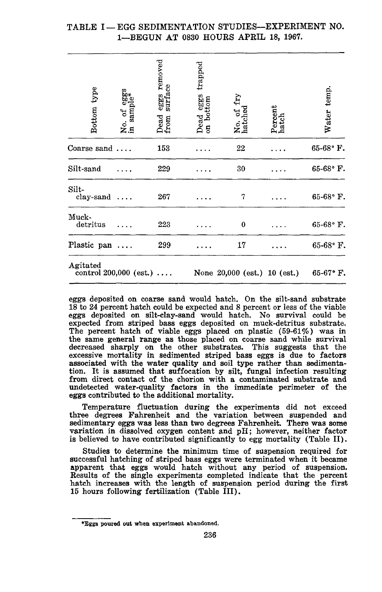# TABLE I-EGG SEDIMENTATION STUDIES-EXPERIMENT NO. 1-BEGUN AT 0830 HOURS APRIL 18, 1967.

| type<br><b>Bottom</b> | m<br>So*<br>sam<br>Ъ<br>s.¤<br>≳.¤ | removed<br>eggs re<br>surface<br>Dead<br>from | ${trapped}$<br>and eggs<br>bottom<br>Dead<br>$\mathbf{g}$ | No. of<br>hatched              | Percent<br>hatch | Water temp.        |
|-----------------------|------------------------------------|-----------------------------------------------|-----------------------------------------------------------|--------------------------------|------------------|--------------------|
| Coarse sand           |                                    | 153                                           |                                                           | 22                             |                  | $65-68$ ° F.       |
| Silt-sand             |                                    | 229                                           |                                                           | 30                             |                  | 65-68°F.           |
| Silt-<br>$clay$ -sand |                                    | 267                                           |                                                           | 7                              |                  | 65-68°F.           |
| Muck-<br>detritus     |                                    | 223                                           |                                                           | $\bf{0}$                       |                  | 65-68° F.          |
| Plastic pan           |                                    | 299                                           |                                                           | 17                             |                  | $65-68$ °F.        |
| Agitated              | control $200,000$ (est.)           |                                               |                                                           | None $20,000$ (est.) 10 (est.) |                  | $65-67$ $\cdot$ F. |

eggs deposited on coarse sand would hatch. On the silt-sand substrate 18 to 24 percent hatch could be expected and 8 percent or less of the viable eggs deposited on silt-clay-sand would hatch. No survival could be expected from striped bass eggs deposited on muck-detritus substrate. The percent hatch of viable eggs placed on plastic (59-61%) was in the same general range as those placed on coarse sand while survival decreased sharply on the other substrates. This suggests that the excessive mortality in sedimented striped bass eggs is due to factors associated with the water quality and soil type rather than sedimentation. It is assumed that suffocation by silt, fungal infection resulting from direct contact of the chorion with a contaminated substrate and undetected water-quality factors in the immediate perimeter of the eggs contributed to the additional mortality.

Temperature fluctuation during the experiments did not exceed three degrees Fahrenheit and the variation between suspended and sedimentary eggs was less than two degrees Fahrenheit. There was some variation in dissolved oxygen content and pH; however, neither factor variation in dissolved oxygen content and  $pH$ ; however, neither factor is believed to have contributed significantly to egg mortality (Table II).

Studies to determine the minimum time of suspension required for successful hatching of striped bass eggs were terminated when it became apparent that eggs would hatch without any period of suspension. Results of the single experiments completed indicate that the percent hatch increases with the length of suspension period during the first 15 hours following fertilization (Table III).

<sup>\*</sup>Eggs poured out when experiment abandoned.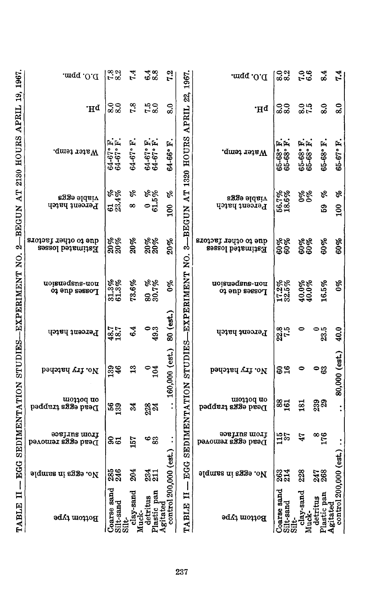| $D'O$ . ppm.                                    | 7.8                                   | 7.4                 | $\frac{48}{68}$                      | 7.2                   | 1967.                            | D.O. ppm.                                | $\frac{8.0}{8.2}$                | $\frac{36}{6}$                   | 8.4                         | 7.4                               |
|-------------------------------------------------|---------------------------------------|---------------------|--------------------------------------|-----------------------|----------------------------------|------------------------------------------|----------------------------------|----------------------------------|-----------------------------|-----------------------------------|
| .Hq                                             | $\frac{6}{8}$                         | 7.8                 | $7.0$<br>8.0                         | 8.0                   | 22,<br><b>APRIL</b>              | .Hq                                      | $\frac{60}{80}$                  | $\frac{6}{5}$                    | 8.0                         | 8.0                               |
| Water temp.                                     | بتا بتا<br>$64 - 67$ °<br>$64 - 67$ ° | 64-67° F.           | بتابتا<br>$64 - 67$<br>$64 - 67$     | Ė<br>64-66°           | <b>HOURS</b><br>1320             | Water temp.                              | بعابعا<br>$65 - 68$<br>$65 - 68$ | أعراجا<br>$65 - 68$<br>$65 - 68$ | Ċ,<br>$65 - 68$             | Ē,<br>65-67°                      |
| viable eggs<br>Percent hatch                    | <b>8%</b><br>ತಷೆ                      | re<br>S<br>$\infty$ | $^{0.96}_{61.5\%}$                   | ozo<br>$\frac{8}{10}$ | AT                               | viable eggs<br>Ferent hatch              | 56.7%<br>18.6%                   | <b>9%</b>                        | ol<br>59                    | g<br>100                          |
| due to other factors<br><b>Estimated losses</b> | 20%<br>20%                            | <b>20%</b>          | 20%<br>20%                           | 20%                   | 3-BEGUN<br>S.                    | due to other factors<br>Estimated losses | 60%<br>60%                       | 60%<br>60%                       | 60%                         | 60%                               |
| uoisuədsns-uou<br>Losses due to                 | 31.3%<br>61.3%                        | 73.6%               | 30.7%<br>30.7%                       | $\delta \phi$         |                                  | uoisuədsns-uou<br><b>Tozaes qne to</b>   | 17.2%<br>32.5%                   | 40.0%<br>40.0%                   | 16.5%                       | $\theta_{\mathscr{B}}$            |
| Percent hatch                                   | 48.7                                  | 6.4                 | ်<br>တီး                             | 80 (est.              | SEDIMENTATION STUDIES-EXPERIMENT | Percent hatch                            | 22.5                             |                                  | ិន<br>ខន                    | 40.0                              |
| No. fry hatched                                 | 139<br>46                             | $\mathbf{r}_3$      | $\frac{6}{104}$                      | 160,000 (est.)        |                                  | рэ<br>издар год                          | និដ                              |                                  | ంజి                         | 80,000 (est.)                     |
| uo110q uo<br>Dead eggs trapped                  | $\frac{56}{33}$                       | 24                  | 228                                  |                       |                                  | uo110q uo<br>Dead eggs trapped           | <b>881</b>                       | $\overline{\mathbf{s}}$          | 239<br>29                   |                                   |
| əərjins uloij<br>Dead eggs removed              | 8ದ                                    | 157                 | అజ్ఞ                                 |                       |                                  | əərjins moij<br>Dead eggs removed        | $\frac{15}{37}$                  | 47                               | $\frac{8}{176}$             |                                   |
| No. eggs in sample                              | 285<br>246                            | 204                 | 231<br>211                           |                       | EGG<br>I                         | No. eggs in sample                       | 263<br>214                       | 228                              | 247                         |                                   |
| Bottom type                                     | Coarse sand<br>Silt-sand<br>$\vec{a}$ | $clay$ -sand        | pan<br>detritus<br>gitated<br>lastic |                       | H<br>TABLE                       | Bottom type                              | oarse sand<br>iit-sand           | clay-sand                        | astic pan<br>detritus<br>δ. | control 200,000 (est.)<br>gitated |

TABLE II -- EGG SEDIMENTATION STUDIES--EXPERIMENT NO. 2-BEGUN AT 2130 HOURS APRIL 19, 1967. I۱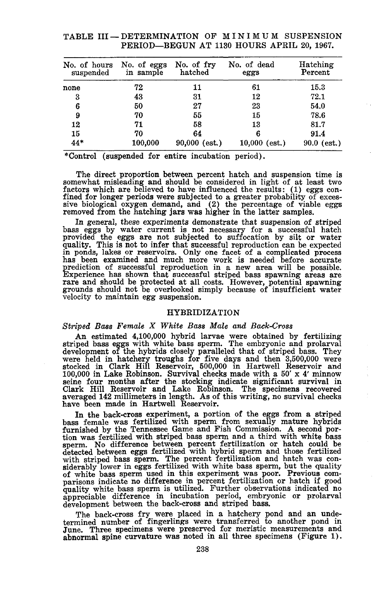| No. of hours<br>suspended | No. of eggs<br>in sample | No. of fry<br>hatched | No. of dead<br>eggs | Hatching<br>Percent |
|---------------------------|--------------------------|-----------------------|---------------------|---------------------|
| none                      | 72                       | 11                    | 61                  | 15.3                |
| 3                         | 43                       | 31                    | 12                  | 72.1                |
| 6                         | 50                       | 27                    | 23                  | 54.0                |
| 9                         | 70                       | 55                    | 15                  | 78.6                |
| 12                        | 71                       | 58                    | 13                  | 81.7                |
| 15                        | 70                       | 64                    | 6                   | 91.4                |
| 44*                       | 100,000                  | $90,000$ (est.)       | $10,000$ (est.)     | $90.0$ (est.)       |

# TABLE III - DETERMINATION OF MINIMUM SUSPENSION PERIOD-BEGUN AT 1130 HOURS APRIL 20, 1967.

\*Control (suspended for entire incubation period).

The direct proportion between percent hatch and suspension time is somewhat misleading and should be considered in light of at least two factors which are believed to have influenced the results:  $(1)$  eggs confactors which are believed to have influenced the results: (1) eggs con-<br>fined for longer periods were subjected to a greater probability of exces-<br>sive biological oxygen demand, and (2) the percentage of viable eggs removed from the hatching jars was higher in the latter samples.

In general, these experiments demonstrate that suspension of striped bass eggs by water current is not necessary for a successful hatch provided the eggs are not subjected to suffocation by silt or water quality. This is not to infer that successful reproduction can be expected in ponds, lakes or reservoirs. Only one facet of <sup>a</sup> complicated process in ponds, lakes or reservoirs. Only one facet of a complicated process<br>has been examined and much more work is needed before accurate<br>prediction of successful reproduction in a new area will be possible. Experience has shown that successful striped bass spawning areas are rare and should be protected at all costs. However, potential spawning grounds should not be overlooked simply because of insufficient water velocity to maintain egg suspension.

### HYBRIDIZATION

### *Striped Bass Female* X *White Bass Male and Back-Cross*

An estimated 4,100,000 hybrid larvae were obtained by fertilizing striped bass eggs with white bass sperm. The embryonic and prolarval development of the hybrids closely paralleled that of striped bass. They were held in hatchery troughs for five days and then 3,500,000 were stocked in Clark Hill Reservoir, 500,000 in Hartwell Reservoir and 100,000 in Lake Robinson. Survival checks made with a 50' x 4' minnow seine four months after the stocking indicate significant survival in Clark Hill Reservoir and Lake Robinson. The specimens recovered averaged 142 millimeters in length. As of this writing, no survival checks have been made in Hartwell Reservoir.

In the back-cross experiment, a portion of the eggs from a striped bass female was fertilized with sperm from sexually mature hybrids furnished by the Tennessee Game and Fish Commission. <sup>A</sup> second por- tion was fertilized with striped bass sperm and <sup>a</sup> third with white bass sperm. No difference between percent fertilization or hatch could be detected between eggs fertilized with hybrid sperm and those fertilized with striped bass sperm. The percent fertilization and hatch was considerably lower in eggs fertilized with white bass sperm, but the quality of white bass sperm used in this experiment was poor. Previous comparisons indic development between the back-cross and striped bass.

The back-cross fry were placed in a hatchery pond and an undetermined number of fingerlings were transferred to another pond in June. Three specimens were preserved for meristic measurements and abnormal spine curvature was noted in all three specimens (Figure 1).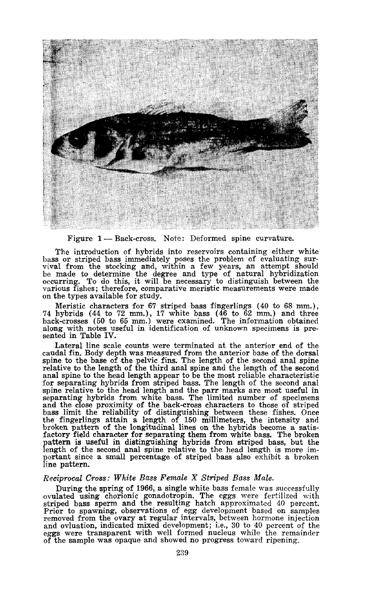

Figure 1-Back-cross. Note: Deformed spine curvature.

The introduction of hybrids into reservoirs containing either white bass or striped bass immediately poses the problem of evaluating surbass or striped bass immediately poses the problem of evaluating sur- vival from the stocking and, within <sup>a</sup> few years, an attempt should be made to determine the degree and type of natural hybridization occurring. To do this, it will be necessary to distinguish between the various fishes; therefore, comparative meristic measurements were made on the types available for study.

Meristic characters for 67 striped bass fingerlings (40 to 68 mm.), 74 hybrids (44 to 72 mm.) , 17 white bass (46 to 62 mm.) and three back-crosses (50 to 65 mm.) were examined. The information obtained along with notes useful in identification of unknown specimens is presented in Table IV.

Lateral line scale counts were terminated at the anterior end of the caudal fin. Body depth was measured from the anterior base of the dorsal spine to the base of the pelvic fins. The length of the second anal spine relative to the length of the third anal spine and the length of the second anal spine to the head length appear to be the most reliable characteristic for separating hybrids from striped bass. The length of the second anal spine relative to the head length and the parr marks are most useful in separating hybrids from white bass. The limited number of specimens and the close proximity of the back-cross characters to those of striped bass limit the reliability of distinguishing between these fishes. Once the fingerlings attain a length of 150 millimeters, the intensity and broken pattern of the longitudinal lines on the hybrids become a satisfactory field character for separating them from white bass. The broken pattern is useful in distinguishing hybrids from striped bass, but the length of the second anal spine relative to the head length is more im-portant since a small percentage of striped bass also exhibit a broken line pattern.

## *Reciprocal Cross: White Bass Female* X *Striped Bass Male.*

During the spring of 1966, a single white bass female was successfully ovulated using chorionic gonadotropin. The eggs were fertilized with striped bass sperm and the resulting hatch approximated 40 percent. Prior to spawning, observations of egg development based on samples removed from the ovary at regular intervals, between hormone injection<br>and ovluation, indicated mixed development; i.e., 30 to 40 percent of the<br>eggs were transparent with well formed nucleus while the remainder<br>of the sam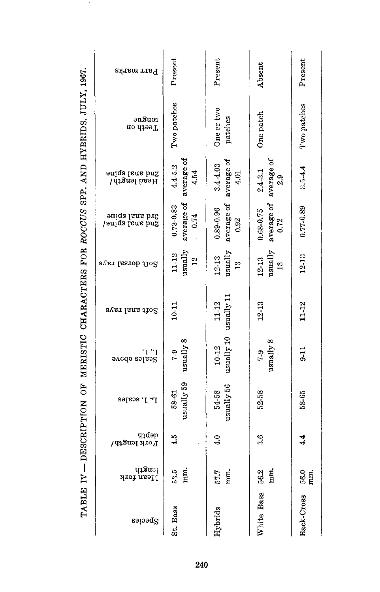| Parr marks                                    | Present                             | Present                                  |                                    | Present       |
|-----------------------------------------------|-------------------------------------|------------------------------------------|------------------------------------|---------------|
|                                               |                                     |                                          | Absent                             |               |
| ənSu01<br>Teeth on                            | Two patches                         | One or two<br>patches                    | One patch                          | Two patches   |
|                                               |                                     |                                          |                                    |               |
| oniqa lana bn <sup>2</sup><br>Head length/    | average of<br>$4.4 - 5.2$<br>4.54   | average of<br>$3.4 - 4.03$<br>4.01       | average of<br>$2.4 - 3.1$<br>2.9   | $3.5 - 4.4$   |
|                                               |                                     |                                          |                                    |               |
| aniqa lana bi <sup>g</sup><br>Janiqa ishi bud | average of<br>$0.73 - 0.83$<br>0.74 | average of<br>0.92<br>$0.89 - 0.96$      | average of $0.72$<br>$0.68 - 0.75$ | 0.77-0.89     |
| Sver lastob tto S                             | usually<br>11-12<br>$\frac{2}{3}$   | $u$ sually<br>$12 - 13$<br>$\frac{3}{1}$ | usually<br>12-13<br>$\frac{8}{10}$ | $12 - 13$     |
|                                               |                                     |                                          |                                    |               |
| Svan lana thog                                | $10 - 11$                           | usually 10 usually 11<br>$11 - 12$       | 12-13                              | 11-12         |
| r' 1.<br>Ecsjes spo <i>r</i> e                | $\it{usually 8}$<br>$7-9$           | $10 - 12$                                | $u$ sually $8$<br>$6 - 1$          | $9 - 11$      |
|                                               |                                     |                                          |                                    |               |
| r <sup>.</sup> 1. scales                      | usually 59<br>58-61                 | usually 56<br>54.58                      | 52-58                              | 58-65         |
|                                               |                                     |                                          |                                    |               |
| qadəp<br>Fork length/                         | 4.5                                 | $\ddot{ }$                               | ೆ                                  | $\frac{4}{4}$ |
| qasuc <sub>l</sub><br><b>Hean fork</b>        | 53.5<br>mm.                         | $57.7$ mm.                               | 56.2<br>E.                         | $56.0$<br>mm. |
|                                               |                                     |                                          | White Bass                         | Back-Cross    |
| Species                                       | St. Bass                            | Hybrids                                  |                                    |               |

TABLE IV - DESCRIPTION OF MERISTIC CHARACTERS FOR ROCCUS SPP. AND HYBRIDS. JULY, 1967.

240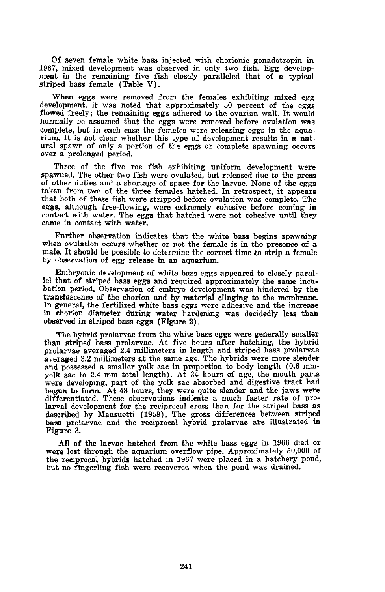Of seven female white bass injected with chorionic gonadotropin in 1967, mixed development was observed in only two fish. Egg development in the remaining five fish closely paralleled that of a typical striped bass female (Table V).

When eggs were removed from the females exhibiting mixed egg development, it was noted that approximately 50 percent of the eggs flowed freely; the remaining eggs adhered to the ovarian wall. It would normally be assumed that the eggs were removed before ovulation was complete, but in each case the females were releasing eggs in the aquarium. It is not clear whether this type of development results in a natural spawn of only <sup>a</sup> portion of the eggs or complete spawning occurs over <sup>a</sup> prolonged period.

Three of the five roe fish exhibiting uniform development were spawned. The other two fish were ovulated, but released due to the press of other duties and a shortage of space for the larvae. None of the eggs taken from two of the three females hatched. In retrospect, it appears that both of these fish were stripped before ovulation was complete. The eggs, although free-flowing, were extremely cohesive before coming in contact with water. The eggs that hatched were not cohesive until they came in contact with water.

Further observation indicates that the white bass begins spawning when ovulation occurs whether or not the female is in the presence of a male. It should be possible to determine the correct time to strip a female. by observation of egg release in an aquarium.

Embryonic development of white bass eggs appeared to closely parallel that of striped bass eggs and required approximately the same incubation period. Observation of embryo development was hindered by the transluscence of the chorion and by material clinging to the membrane. In general, the fertilized white bass eggs were adhesive and the increase in chorion diameter during water hardening was decidedly less than observed in striped bass eggs (Figure 2).

The hybrid prolarvae from the white bass eggs were generally smaller than striped bass prolarvae. At five hours after hatching, the hybrid prolarvae averaged 2.4 millimeters in length and striped bass prolarvae averaged 3.2 millimeters at the same age. The hybrids were more slender and possessed a smaller yolk sac in proportion to body length (0.6 mm-<br>yolk sac to 2.4 mm total length). At 34 hours of age, the mouth parts<br>were developing, part of the yolk sac absorbed and digestive tract had begun to form. At <sup>48</sup> hours, they were quite slender and the jaws were differentiated. These observations indicate <sup>a</sup> much faster rate of prolarval development for the reciprocal cross than for the striped bass as described by Mansuetti (1958). The gross differences between striped bass prolarvae and the reciprocal hybrid prolarvae are illustrated in Figure 3.

All of the larvae hatched from the white bass eggs in <sup>1966</sup> died or were lost through the aquarium overflow pipe. Approximately 50,000 of the reciprocal hybrids hatched in 1967 were placed in a hatchery pond, but no fingerling fish were recovered when the pond was drained.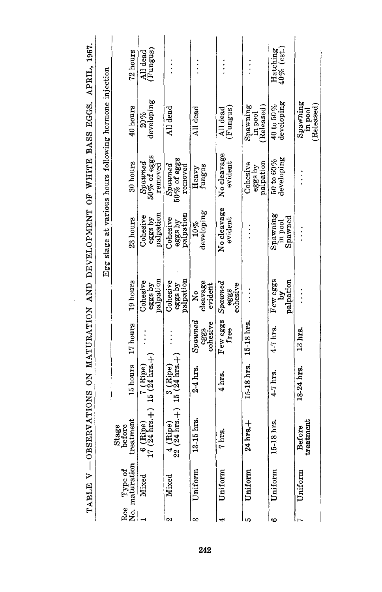| Roe Type of<br>No. maturation | belure<br>treatment<br>Stage<br>ofore |                                                               | 17 hours                          |                                              | Egg stage at various hours following hormone injection |                                                 |                                          |                                  |
|-------------------------------|---------------------------------------|---------------------------------------------------------------|-----------------------------------|----------------------------------------------|--------------------------------------------------------|-------------------------------------------------|------------------------------------------|----------------------------------|
| Mixed                         | $\frac{6}{17}$                        | $(Ripe)$ $7 (Ripe)$<br>$(24 hrs.+) 15 (24 hrs.+)$<br>15 hours |                                   | palpation<br>19 hours<br>Cohesive<br>eggs by | eggs by<br>palpation<br>Cohesive<br>23 hours           | $50\%$ of eggs<br>30 hours<br>Spwned<br>removed | developing<br>40 hours<br>$20 \%$        | 72 hours<br>(Fungus)<br>All dead |
| Mixed                         | $22^4$                                | $(Ripe)$ $3 (Ripe)$<br>$(24 hrs.+) 15 (24 hrs.+)$             |                                   | palpation<br>Cohesive<br>eggs by             | eggs by<br>palpation<br>Cohesive                       | 50% of eggs<br>$Sp$ awne $d$<br>removed         | All dead                                 |                                  |
| Uniform                       | 13-15 hrs.                            | $2-4$ hrs.                                                    | $S$ pawne $d$<br>cohesive<br>eggs | cleavage<br>evident<br>2°                    | developing<br>10%                                      | fungus<br>Heavy                                 | All dead                                 |                                  |
| Uniform                       | hrs.                                  | $4 \text{ hrs.}$                                              | Few eggs<br>rree                  | $S$ $p$ $a$<br>cohesive<br>eggs              | No cleavage<br>$_{\rm evident}$                        | No cleavage<br>evident                          | All dead<br>(Fungus)                     |                                  |
| Uniform                       | hrs.+<br>₫                            | 15-18 hrs.                                                    | 1518 hrs.                         |                                              |                                                        | palpation<br>Cohesive<br>eggs by                | (Released)<br>${\tt Spaning}$<br>in pool |                                  |
| Uniform                       | 15-18 hrs.                            | $4-7$ hrs                                                     | $4-7$ hrs.                        | Few eggs<br>palpation                        | Spawning<br>${\tt Spaned}$<br>in pool                  | developing<br>$50$ to $60\%$                    | developing<br>$40$ to $50\%$             | 40% (est.<br>Hatching            |
| Uniform                       | Before<br>treatment                   | 18-24 hrs.                                                    | $13 \text{ hrs}$                  |                                              | $\vdots$                                               |                                                 | ${\tt Spawning}$<br>Released<br>in pool  |                                  |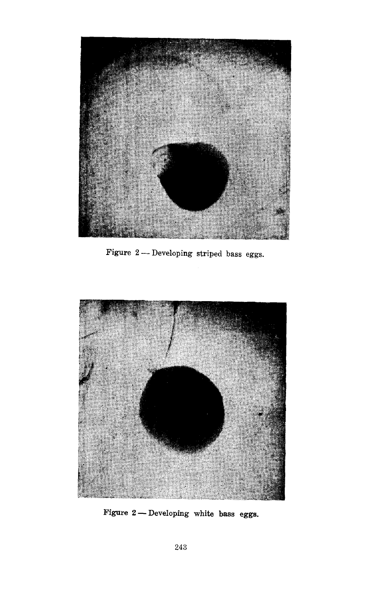

Figure - Developing striped bass eggs.



Figure - Developing white bass eggs.